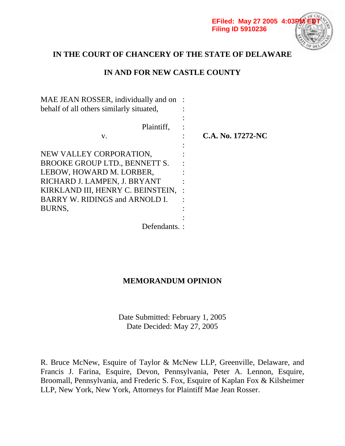

# **IN THE COURT OF CHANCERY OF THE STATE OF DELAWARE**

# **IN AND FOR NEW CASTLE COUNTY**

| MAE JEAN ROSSER, individually and on<br>behalf of all others similarly situated, |                   |
|----------------------------------------------------------------------------------|-------------------|
| Plaintiff.                                                                       |                   |
| V.                                                                               | C.A. No. 17272-NC |
| NEW VALLEY CORPORATION,                                                          |                   |
| BROOKE GROUP LTD., BENNETT S.                                                    |                   |
| LEBOW, HOWARD M. LORBER,                                                         |                   |
| RICHARD J. LAMPEN, J. BRYANT<br>KIRKLAND III, HENRY C. BEINSTEIN,                |                   |
| BARRY W. RIDINGS and ARNOLD I.                                                   |                   |
| BURNS,                                                                           |                   |
| Defendants.                                                                      |                   |

# **MEMORANDUM OPINION**

Date Submitted: February 1, 2005 Date Decided: May 27, 2005

R. Bruce McNew, Esquire of Taylor & McNew LLP, Greenville, Delaware, and Francis J. Farina, Esquire, Devon, Pennsylvania, Peter A. Lennon, Esquire, Broomall, Pennsylvania, and Frederic S. Fox, Esquire of Kaplan Fox & Kilsheimer LLP, New York, New York, Attorneys for Plaintiff Mae Jean Rosser.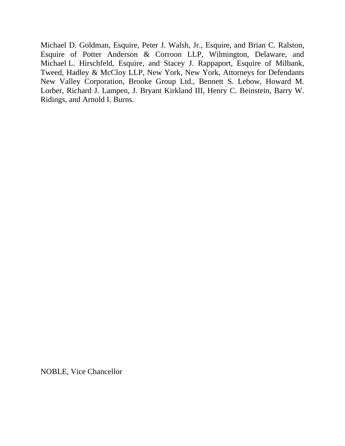Michael D. Goldman, Esquire, Peter J. Walsh, Jr., Esquire, and Brian C. Ralston, Esquire of Potter Anderson & Corroon LLP, Wilmington, Delaware, and Michael L. Hirschfeld, Esquire, and Stacey J. Rappaport, Esquire of Milbank, Tweed, Hadley & McCloy LLP, New York, New York, Attorneys for Defendants New Valley Corporation, Brooke Group Ltd., Bennett S. Lebow, Howard M. Lorber, Richard J. Lampen, J. Bryant Kirkland III, Henry C. Beinstein, Barry W. Ridings, and Arnold I. Burns.

NOBLE, Vice Chancellor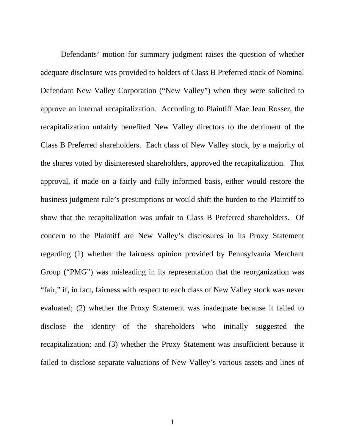Defendants' motion for summary judgment raises the question of whether adequate disclosure was provided to holders of Class B Preferred stock of Nominal Defendant New Valley Corporation ("New Valley") when they were solicited to approve an internal recapitalization. According to Plaintiff Mae Jean Rosser, the recapitalization unfairly benefited New Valley directors to the detriment of the Class B Preferred shareholders. Each class of New Valley stock, by a majority of the shares voted by disinterested shareholders, approved the recapitalization. That approval, if made on a fairly and fully informed basis, either would restore the business judgment rule's presumptions or would shift the burden to the Plaintiff to show that the recapitalization was unfair to Class B Preferred shareholders. Of concern to the Plaintiff are New Valley's disclosures in its Proxy Statement regarding (1) whether the fairness opinion provided by Pennsylvania Merchant Group ("PMG") was misleading in its representation that the reorganization was "fair," if, in fact, fairness with respect to each class of New Valley stock was never evaluated; (2) whether the Proxy Statement was inadequate because it failed to disclose the identity of the shareholders who initially suggested the recapitalization; and (3) whether the Proxy Statement was insufficient because it failed to disclose separate valuations of New Valley's various assets and lines of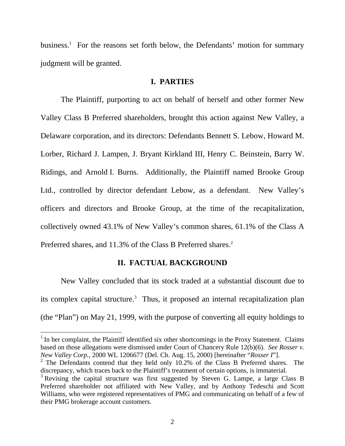business.<sup>1</sup> For the reasons set forth below, the Defendants' motion for summary judgment will be granted.

#### **I. PARTIES**

The Plaintiff, purporting to act on behalf of herself and other former New Valley Class B Preferred shareholders, brought this action against New Valley, a Delaware corporation, and its directors: Defendants Bennett S. Lebow, Howard M. Lorber, Richard J. Lampen, J. Bryant Kirkland III, Henry C. Beinstein, Barry W. Ridings, and Arnold I. Burns. Additionally, the Plaintiff named Brooke Group Ltd., controlled by director defendant Lebow, as a defendant. New Valley's officers and directors and Brooke Group, at the time of the recapitalization, collectively owned 43.1% of New Valley's common shares, 61.1% of the Class A Preferred shares, and 11.3% of the Class B Preferred shares.<sup>2</sup>

### **II. FACTUAL BACKGROUND**

 New Valley concluded that its stock traded at a substantial discount due to its complex capital structure.<sup>3</sup> Thus, it proposed an internal recapitalization plan (the "Plan") on May 21, 1999, with the purpose of converting all equity holdings to

 $1$  In her complaint, the Plaintiff identified six other shortcomings in the Proxy Statement. Claims based on those allegations were dismissed under Court of Chancery Rule 12(b)(6). *See Rosser v. New Valley Corp.*, 2000 WL 1206677 (Del. Ch. Aug. 15, 2000) [hereinafter "*Rosser I*"].

 $2$  The Defendants contend that they held only 10.2% of the Class B Preferred shares. The discrepancy, which traces back to the Plaintiff's treatment of certain options, is immaterial.

<sup>&</sup>lt;sup>3</sup> Revising the capital structure was first suggested by Steven G. Lampe, a large Class B Preferred shareholder not affiliated with New Valley, and by Anthony Tedeschi and Scott Williams, who were registered representatives of PMG and communicating on behalf of a few of their PMG brokerage account customers.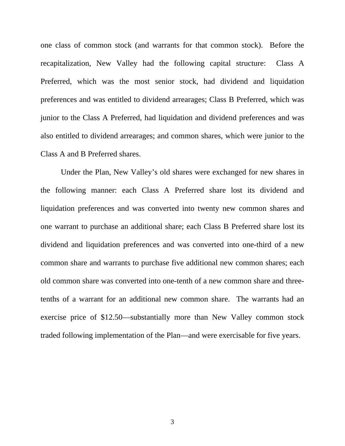one class of common stock (and warrants for that common stock). Before the recapitalization, New Valley had the following capital structure: Class A Preferred, which was the most senior stock, had dividend and liquidation preferences and was entitled to dividend arrearages; Class B Preferred, which was junior to the Class A Preferred, had liquidation and dividend preferences and was also entitled to dividend arrearages; and common shares, which were junior to the Class A and B Preferred shares.

Under the Plan, New Valley's old shares were exchanged for new shares in the following manner: each Class A Preferred share lost its dividend and liquidation preferences and was converted into twenty new common shares and one warrant to purchase an additional share; each Class B Preferred share lost its dividend and liquidation preferences and was converted into one-third of a new common share and warrants to purchase five additional new common shares; each old common share was converted into one-tenth of a new common share and threetenths of a warrant for an additional new common share. The warrants had an exercise price of \$12.50—substantially more than New Valley common stock traded following implementation of the Plan—and were exercisable for five years.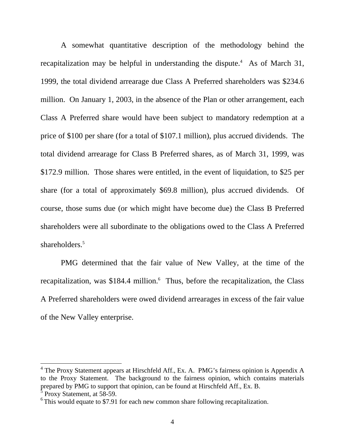A somewhat quantitative description of the methodology behind the recapitalization may be helpful in understanding the dispute.<sup>4</sup> As of March 31, 1999, the total dividend arrearage due Class A Preferred shareholders was \$234.6 million. On January 1, 2003, in the absence of the Plan or other arrangement, each Class A Preferred share would have been subject to mandatory redemption at a price of \$100 per share (for a total of \$107.1 million), plus accrued dividends. The total dividend arrearage for Class B Preferred shares, as of March 31, 1999, was \$172.9 million. Those shares were entitled, in the event of liquidation, to \$25 per share (for a total of approximately \$69.8 million), plus accrued dividends. Of course, those sums due (or which might have become due) the Class B Preferred shareholders were all subordinate to the obligations owed to the Class A Preferred shareholders.<sup>5</sup>

 PMG determined that the fair value of New Valley, at the time of the recapitalization, was \$184.4 million.<sup>6</sup> Thus, before the recapitalization, the Class A Preferred shareholders were owed dividend arrearages in excess of the fair value of the New Valley enterprise.

<sup>&</sup>lt;sup>4</sup> The Proxy Statement appears at Hirschfeld Aff., Ex. A. PMG's fairness opinion is Appendix A to the Proxy Statement. The background to the fairness opinion, which contains materials prepared by PMG to support that opinion, can be found at Hirschfeld Aff., Ex. B.

 $5$  Proxy Statement, at 58-59.

 $6$  This would equate to \$7.91 for each new common share following recapitalization.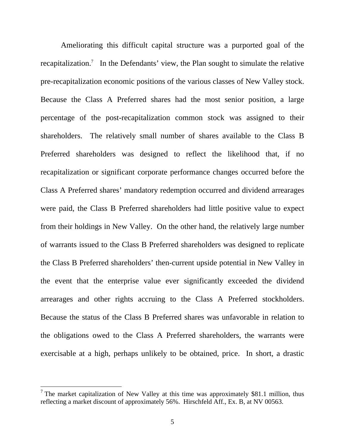Ameliorating this difficult capital structure was a purported goal of the recapitalization.<sup>7</sup> In the Defendants' view, the Plan sought to simulate the relative pre-recapitalization economic positions of the various classes of New Valley stock. Because the Class A Preferred shares had the most senior position, a large percentage of the post-recapitalization common stock was assigned to their shareholders. The relatively small number of shares available to the Class B Preferred shareholders was designed to reflect the likelihood that, if no recapitalization or significant corporate performance changes occurred before the Class A Preferred shares' mandatory redemption occurred and dividend arrearages were paid, the Class B Preferred shareholders had little positive value to expect from their holdings in New Valley. On the other hand, the relatively large number of warrants issued to the Class B Preferred shareholders was designed to replicate the Class B Preferred shareholders' then-current upside potential in New Valley in the event that the enterprise value ever significantly exceeded the dividend arrearages and other rights accruing to the Class A Preferred stockholders. Because the status of the Class B Preferred shares was unfavorable in relation to the obligations owed to the Class A Preferred shareholders, the warrants were exercisable at a high, perhaps unlikely to be obtained, price. In short, a drastic

<sup>&</sup>lt;sup>7</sup> The market capitalization of New Valley at this time was approximately \$81.1 million, thus reflecting a market discount of approximately 56%. Hirschfeld Aff., Ex. B, at NV 00563.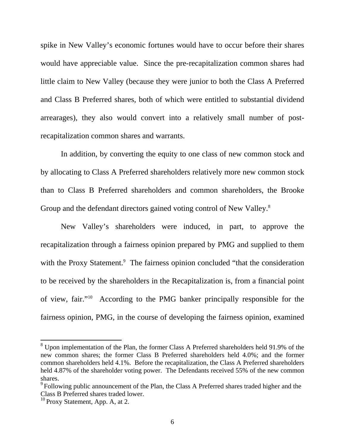spike in New Valley's economic fortunes would have to occur before their shares would have appreciable value. Since the pre-recapitalization common shares had little claim to New Valley (because they were junior to both the Class A Preferred and Class B Preferred shares, both of which were entitled to substantial dividend arrearages), they also would convert into a relatively small number of postrecapitalization common shares and warrants.

 In addition, by converting the equity to one class of new common stock and by allocating to Class A Preferred shareholders relatively more new common stock than to Class B Preferred shareholders and common shareholders, the Brooke Group and the defendant directors gained voting control of New Valley.<sup>8</sup>

 New Valley's shareholders were induced, in part, to approve the recapitalization through a fairness opinion prepared by PMG and supplied to them with the Proxy Statement.<sup>9</sup> The fairness opinion concluded "that the consideration to be received by the shareholders in the Recapitalization is, from a financial point of view, fair."10 According to the PMG banker principally responsible for the fairness opinion, PMG, in the course of developing the fairness opinion, examined

 $8$  Upon implementation of the Plan, the former Class A Preferred shareholders held 91.9% of the new common shares; the former Class B Preferred shareholders held 4.0%; and the former common shareholders held 4.1%. Before the recapitalization, the Class A Preferred shareholders held 4.87% of the shareholder voting power. The Defendants received 55% of the new common shares.

<sup>&</sup>lt;sup>9</sup> Following public announcement of the Plan, the Class A Preferred shares traded higher and the Class B Preferred shares traded lower.

 $10$  Proxy Statement, App. A, at 2.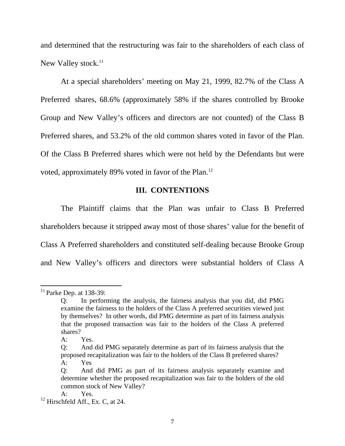and determined that the restructuring was fair to the shareholders of each class of New Valley stock.<sup>11</sup>

 At a special shareholders' meeting on May 21, 1999, 82.7% of the Class A Preferred shares, 68.6% (approximately 58% if the shares controlled by Brooke Group and New Valley's officers and directors are not counted) of the Class B Preferred shares, and 53.2% of the old common shares voted in favor of the Plan. Of the Class B Preferred shares which were not held by the Defendants but were voted, approximately 89% voted in favor of the Plan.<sup>12</sup>

### **III. CONTENTIONS**

The Plaintiff claims that the Plan was unfair to Class B Preferred shareholders because it stripped away most of those shares' value for the benefit of Class A Preferred shareholders and constituted self-dealing because Brooke Group and New Valley's officers and directors were substantial holders of Class A

 $11$  Parke Dep. at 138-39:

In performing the analysis, the fairness analysis that you did, did PMG examine the fairness to the holders of the Class A preferred securities viewed just by themselves? In other words, did PMG determine as part of its fairness analysis that the proposed transaction was fair to the holders of the Class A preferred shares?

A: Yes.

Q: And did PMG separately determine as part of its fairness analysis that the proposed recapitalization was fair to the holders of the Class B preferred shares? A: Yes

Q: And did PMG as part of its fairness analysis separately examine and determine whether the proposed recapitalization was fair to the holders of the old common stock of New Valley?

A: Yes.

 $12$  Hirschfeld Aff., Ex. C, at 24.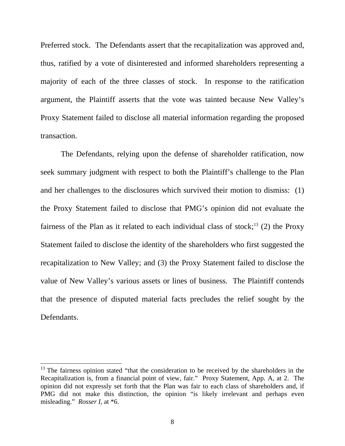Preferred stock. The Defendants assert that the recapitalization was approved and, thus, ratified by a vote of disinterested and informed shareholders representing a majority of each of the three classes of stock. In response to the ratification argument, the Plaintiff asserts that the vote was tainted because New Valley's Proxy Statement failed to disclose all material information regarding the proposed transaction.

 The Defendants, relying upon the defense of shareholder ratification, now seek summary judgment with respect to both the Plaintiff's challenge to the Plan and her challenges to the disclosures which survived their motion to dismiss: (1) the Proxy Statement failed to disclose that PMG's opinion did not evaluate the fairness of the Plan as it related to each individual class of stock;<sup>13</sup> (2) the Proxy Statement failed to disclose the identity of the shareholders who first suggested the recapitalization to New Valley; and (3) the Proxy Statement failed to disclose the value of New Valley's various assets or lines of business. The Plaintiff contends that the presence of disputed material facts precludes the relief sought by the Defendants.

 $13$  The fairness opinion stated "that the consideration to be received by the shareholders in the Recapitalization is, from a financial point of view, fair." Proxy Statement, App. A, at 2. The opinion did not expressly set forth that the Plan was fair to each class of shareholders and, if PMG did not make this distinction, the opinion "is likely irrelevant and perhaps even misleading." *Rosser I*, at \*6.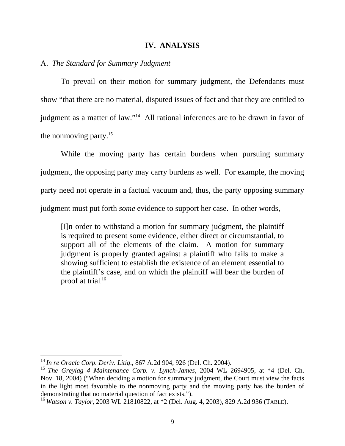#### **IV. ANALYSIS**

### A. *The Standard for Summary Judgment*

 To prevail on their motion for summary judgment, the Defendants must show "that there are no material, disputed issues of fact and that they are entitled to judgment as a matter of law."14 All rational inferences are to be drawn in favor of the nonmoving party.<sup>15</sup>

 While the moving party has certain burdens when pursuing summary judgment, the opposing party may carry burdens as well. For example, the moving party need not operate in a factual vacuum and, thus, the party opposing summary judgment must put forth *some* evidence to support her case. In other words,

[I]n order to withstand a motion for summary judgment, the plaintiff is required to present some evidence, either direct or circumstantial, to support all of the elements of the claim. A motion for summary judgment is properly granted against a plaintiff who fails to make a showing sufficient to establish the existence of an element essential to the plaintiff's case, and on which the plaintiff will bear the burden of proof at trial. 16

<sup>14</sup>*In re Oracle Corp. Deriv. Litig*., 867 A.2d 904, 926 (Del. Ch. 2004).

<sup>15</sup>*The Greylag 4 Maintenance Corp. v. Lynch-James*, 2004 WL 2694905, at \*4 (Del. Ch. Nov. 18, 2004) ("When deciding a motion for summary judgment, the Court must view the facts in the light most favorable to the nonmoving party and the moving party has the burden of demonstrating that no material question of fact exists.").

<sup>16</sup>*Watson v. Taylor*, 2003 WL 21810822, at \*2 (Del. Aug. 4, 2003), 829 A.2d 936 (TABLE).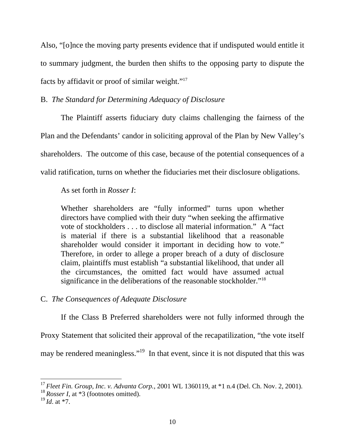Also, "[o]nce the moving party presents evidence that if undisputed would entitle it to summary judgment, the burden then shifts to the opposing party to dispute the facts by affidavit or proof of similar weight."17

## B. *The Standard for Determining Adequacy of Disclosure*

 The Plaintiff asserts fiduciary duty claims challenging the fairness of the Plan and the Defendants' candor in soliciting approval of the Plan by New Valley's shareholders. The outcome of this case, because of the potential consequences of a valid ratification, turns on whether the fiduciaries met their disclosure obligations.

As set forth in *Rosser I*:

Whether shareholders are "fully informed" turns upon whether directors have complied with their duty "when seeking the affirmative vote of stockholders . . . to disclose all material information." A "fact is material if there is a substantial likelihood that a reasonable shareholder would consider it important in deciding how to vote." Therefore, in order to allege a proper breach of a duty of disclosure claim, plaintiffs must establish "a substantial likelihood, that under all the circumstances, the omitted fact would have assumed actual significance in the deliberations of the reasonable stockholder."<sup>18</sup>

## C. *The Consequences of Adequate Disclosure*

 If the Class B Preferred shareholders were not fully informed through the Proxy Statement that solicited their approval of the recapatilization, "the vote itself may be rendered meaningless."<sup>19</sup> In that event, since it is not disputed that this was

<sup>17</sup>*Fleet Fin. Group, Inc. v. Advanta Corp.*, 2001 WL 1360119, at \*1 n.4 (Del. Ch. Nov. 2, 2001). <sup>18</sup> Rosser I, at \*3 (footnotes omitted).

<sup>19</sup>*Id*. at \*7.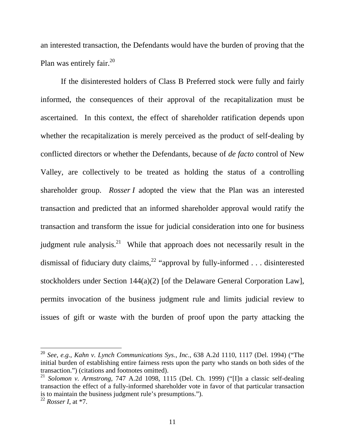an interested transaction, the Defendants would have the burden of proving that the Plan was entirely fair. $^{20}$ 

 If the disinterested holders of Class B Preferred stock were fully and fairly informed, the consequences of their approval of the recapitalization must be ascertained. In this context, the effect of shareholder ratification depends upon whether the recapitalization is merely perceived as the product of self-dealing by conflicted directors or whether the Defendants, because of *de facto* control of New Valley, are collectively to be treated as holding the status of a controlling shareholder group. *Rosser I* adopted the view that the Plan was an interested transaction and predicted that an informed shareholder approval would ratify the transaction and transform the issue for judicial consideration into one for business judgment rule analysis.<sup>21</sup> While that approach does not necessarily result in the dismissal of fiduciary duty claims,<sup>22</sup> "approval by fully-informed . . . disinterested stockholders under Section 144(a)(2) [of the Delaware General Corporation Law], permits invocation of the business judgment rule and limits judicial review to issues of gift or waste with the burden of proof upon the party attacking the

<sup>20</sup> *See, e.g.*, *Kahn v. Lynch Communications Sys.*, *Inc.*, 638 A.2d 1110, 1117 (Del. 1994) ("The initial burden of establishing entire fairness rests upon the party who stands on both sides of the transaction.") (citations and footnotes omitted).

<sup>21</sup> *Solomon v. Armstrong*, 747 A.2d 1098, 1115 (Del. Ch. 1999) ("[I]n a classic self-dealing transaction the effect of a fully-informed shareholder vote in favor of that particular transaction is to maintain the business judgment rule's presumptions.").

<sup>22</sup> *Rosser I*, at \*7.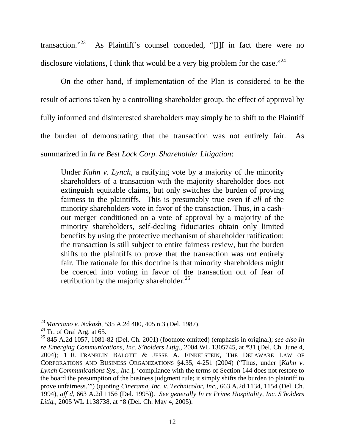transaction."23 As Plaintiff's counsel conceded, "[I]f in fact there were no disclosure violations, I think that would be a very big problem for the case."  $^{24}$ 

 On the other hand, if implementation of the Plan is considered to be the result of actions taken by a controlling shareholder group, the effect of approval by fully informed and disinterested shareholders may simply be to shift to the Plaintiff the burden of demonstrating that the transaction was not entirely fair. As summarized in *In re Best Lock Corp. Shareholder Litigation*:

Under *Kahn v. Lynch*, a ratifying vote by a majority of the minority shareholders of a transaction with the majority shareholder does not extinguish equitable claims, but only switches the burden of proving fairness to the plaintiffs. This is presumably true even if *all* of the minority shareholders vote in favor of the transaction. Thus, in a cashout merger conditioned on a vote of approval by a majority of the minority shareholders, self-dealing fiduciaries obtain only limited benefits by using the protective mechanism of shareholder ratification: the transaction is still subject to entire fairness review, but the burden shifts to the plaintiffs to prove that the transaction was *not* entirely fair. The rationale for this doctrine is that minority shareholders might be coerced into voting in favor of the transaction out of fear of retribution by the majority shareholder.<sup>25</sup>

<sup>23</sup>*Marciano v. Nakash*, 535 A.2d 400, 405 n.3 (Del. 1987).

 $24$  Tr. of Oral Arg. at 65.

<sup>25 845</sup> A.2d 1057, 1081-82 (Del. Ch. 2001) (footnote omitted) (emphasis in original); *see also In re Emerging Communications, Inc. S'holders Litig.*, 2004 WL 1305745, at \*31 (Del. Ch. June 4, 2004); 1 R. FRANKLIN BALOTTI & JESSE A. FINKELSTEIN, THE DELAWARE LAW OF CORPORATIONS AND BUSINESS ORGANIZATIONS §4.35, 4-251 (2004) ("Thus, under [*Kahn v. Lynch Communications Sys., Inc.*], 'compliance with the terms of Section 144 does not restore to the board the presumption of the business judgment rule; it simply shifts the burden to plaintiff to prove unfairness.'") (quoting *Cinerama, Inc. v. Technicolor, Inc*., 663 A.2d 1134, 1154 (Del. Ch. 1994), *aff'd*, 663 A.2d 1156 (Del. 1995)). *See generally In re Prime Hospitality, Inc. S'holders Litig.*, 2005 WL 1138738, at \*8 (Del. Ch. May 4, 2005).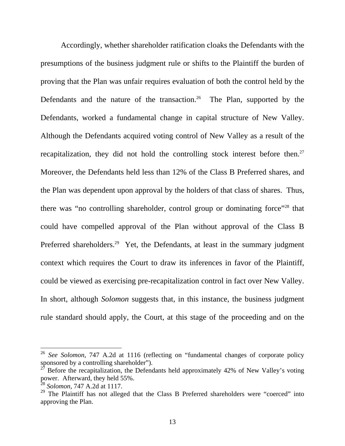Accordingly, whether shareholder ratification cloaks the Defendants with the presumptions of the business judgment rule or shifts to the Plaintiff the burden of proving that the Plan was unfair requires evaluation of both the control held by the Defendants and the nature of the transaction.<sup>26</sup> The Plan, supported by the Defendants, worked a fundamental change in capital structure of New Valley. Although the Defendants acquired voting control of New Valley as a result of the recapitalization, they did not hold the controlling stock interest before then.<sup>27</sup> Moreover, the Defendants held less than 12% of the Class B Preferred shares, and the Plan was dependent upon approval by the holders of that class of shares. Thus, there was "no controlling shareholder, control group or dominating force"<sup>28</sup> that could have compelled approval of the Plan without approval of the Class B Preferred shareholders.<sup>29</sup> Yet, the Defendants, at least in the summary judgment context which requires the Court to draw its inferences in favor of the Plaintiff, could be viewed as exercising pre-recapitalization control in fact over New Valley. In short, although *Solomon* suggests that, in this instance, the business judgment rule standard should apply, the Court, at this stage of the proceeding and on the

<sup>26</sup> *See Solomon*, 747 A.2d at 1116 (reflecting on "fundamental changes of corporate policy sponsored by a controlling shareholder").

<sup>27</sup> Before the recapitalization, the Defendants held approximately 42% of New Valley's voting power. Afterward, they held 55%.

<sup>28</sup> *Solomon*, 747 A.2d at 1117.

 $29$  The Plaintiff has not alleged that the Class B Preferred shareholders were "coerced" into approving the Plan.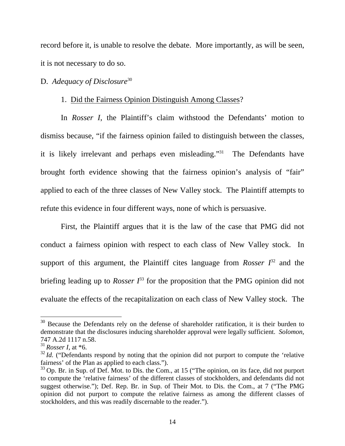record before it, is unable to resolve the debate. More importantly, as will be seen, it is not necessary to do so.

### D. *Adequacy of Disclosure*<sup>30</sup>

#### 1. Did the Fairness Opinion Distinguish Among Classes?

 In *Rosser I*, the Plaintiff's claim withstood the Defendants' motion to dismiss because, "if the fairness opinion failed to distinguish between the classes, it is likely irrelevant and perhaps even misleading."<sup>31</sup> The Defendants have brought forth evidence showing that the fairness opinion's analysis of "fair" applied to each of the three classes of New Valley stock. The Plaintiff attempts to refute this evidence in four different ways, none of which is persuasive.

 First, the Plaintiff argues that it is the law of the case that PMG did not conduct a fairness opinion with respect to each class of New Valley stock. In support of this argument, the Plaintiff cites language from *Rosser*  $I^{32}$  and the briefing leading up to *Rosser*  $I^{33}$  for the proposition that the PMG opinion did not evaluate the effects of the recapitalization on each class of New Valley stock. The

 $30$  Because the Defendants rely on the defense of shareholder ratification, it is their burden to demonstrate that the disclosures inducing shareholder approval were legally sufficient. *Solomon*, 747 A.2d 1117 n.58.

<sup>31</sup>*Rosser I*, at \*6.

 $32$  *Id.* ("Defendants respond by noting that the opinion did not purport to compute the 'relative' fairness' of the Plan as applied to each class.").

 $33$  Op. Br. in Sup. of Def. Mot. to Dis. the Com., at 15 ("The opinion, on its face, did not purport to compute the 'relative fairness' of the different classes of stockholders, and defendants did not suggest otherwise."); Def. Rep. Br. in Sup. of Their Mot. to Dis. the Com., at 7 ("The PMG opinion did not purport to compute the relative fairness as among the different classes of stockholders, and this was readily discernable to the reader.").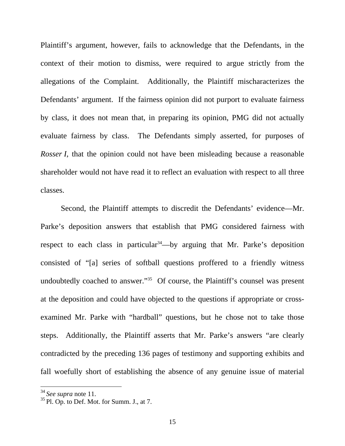Plaintiff's argument, however, fails to acknowledge that the Defendants, in the context of their motion to dismiss, were required to argue strictly from the allegations of the Complaint. Additionally, the Plaintiff mischaracterizes the Defendants' argument. If the fairness opinion did not purport to evaluate fairness by class, it does not mean that, in preparing its opinion, PMG did not actually evaluate fairness by class. The Defendants simply asserted, for purposes of *Rosser I*, that the opinion could not have been misleading because a reasonable shareholder would not have read it to reflect an evaluation with respect to all three classes.

 Second, the Plaintiff attempts to discredit the Defendants' evidence—Mr. Parke's deposition answers that establish that PMG considered fairness with respect to each class in particular<sup>34</sup>—by arguing that Mr. Parke's deposition consisted of "[a] series of softball questions proffered to a friendly witness undoubtedly coached to answer."35 Of course, the Plaintiff's counsel was present at the deposition and could have objected to the questions if appropriate or crossexamined Mr. Parke with "hardball" questions, but he chose not to take those steps. Additionally, the Plaintiff asserts that Mr. Parke's answers "are clearly contradicted by the preceding 136 pages of testimony and supporting exhibits and fall woefully short of establishing the absence of any genuine issue of material

<sup>34</sup>*See supra* note 11.

 $35$  Pl. Op. to Def. Mot. for Summ. J., at 7.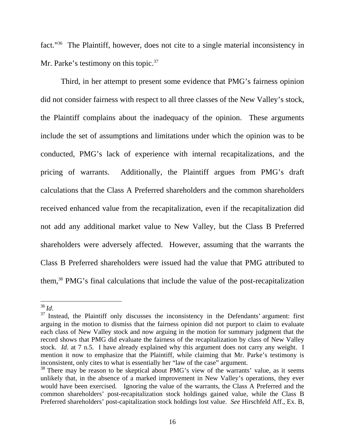fact."36 The Plaintiff, however, does not cite to a single material inconsistency in Mr. Parke's testimony on this topic.<sup>37</sup>

 Third, in her attempt to present some evidence that PMG's fairness opinion did not consider fairness with respect to all three classes of the New Valley's stock, the Plaintiff complains about the inadequacy of the opinion. These arguments include the set of assumptions and limitations under which the opinion was to be conducted, PMG's lack of experience with internal recapitalizations, and the pricing of warrants. Additionally, the Plaintiff argues from PMG's draft calculations that the Class A Preferred shareholders and the common shareholders received enhanced value from the recapitalization, even if the recapitalization did not add any additional market value to New Valley, but the Class B Preferred shareholders were adversely affected. However, assuming that the warrants the Class B Preferred shareholders were issued had the value that PMG attributed to them,38 PMG's final calculations that include the value of the post-recapitalization

 $36$  Id.

<sup>&</sup>lt;sup>37</sup> Instead, the Plaintiff only discusses the inconsistency in the Defendants' argument: first arguing in the motion to dismiss that the fairness opinion did not purport to claim to evaluate each class of New Valley stock and now arguing in the motion for summary judgment that the record shows that PMG did evaluate the fairness of the recapitalization by class of New Valley stock. *Id*. at 7 n.5. I have already explained why this argument does not carry any weight. I mention it now to emphasize that the Plaintiff, while claiming that Mr. Parke's testimony is inconsistent, only cites to what is essentially her "law of the case" argument.

<sup>&</sup>lt;sup>38</sup> There may be reason to be skeptical about PMG's view of the warrants' value, as it seems unlikely that, in the absence of a marked improvement in New Valley's operations, they ever would have been exercised. Ignoring the value of the warrants, the Class A Preferred and the common shareholders' post-recapitalization stock holdings gained value, while the Class B Preferred shareholders' post-capitalization stock holdings lost value. *See* Hirschfeld Aff., Ex. B,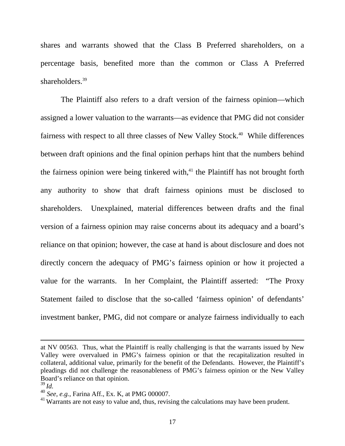shares and warrants showed that the Class B Preferred shareholders, on a percentage basis, benefited more than the common or Class A Preferred shareholders.<sup>39</sup>

 The Plaintiff also refers to a draft version of the fairness opinion—which assigned a lower valuation to the warrants—as evidence that PMG did not consider fairness with respect to all three classes of New Valley Stock.<sup>40</sup> While differences between draft opinions and the final opinion perhaps hint that the numbers behind the fairness opinion were being tinkered with, $41$  the Plaintiff has not brought forth any authority to show that draft fairness opinions must be disclosed to shareholders. Unexplained, material differences between drafts and the final version of a fairness opinion may raise concerns about its adequacy and a board's reliance on that opinion; however, the case at hand is about disclosure and does not directly concern the adequacy of PMG's fairness opinion or how it projected a value for the warrants. In her Complaint, the Plaintiff asserted: "The Proxy Statement failed to disclose that the so-called 'fairness opinion' of defendants' investment banker, PMG, did not compare or analyze fairness individually to each

at NV 00563. Thus, what the Plaintiff is really challenging is that the warrants issued by New Valley were overvalued in PMG's fairness opinion or that the recapitalization resulted in collateral, additional value, primarily for the benefit of the Defendants. However, the Plaintiff's pleadings did not challenge the reasonableness of PMG's fairness opinion or the New Valley Board's reliance on that opinion.

<sup>39</sup>*Id.*

<sup>40</sup> *See, e.g.*, Farina Aff., Ex. K, at PMG 000007.

 $^{41}$  Warrants are not easy to value and, thus, revising the calculations may have been prudent.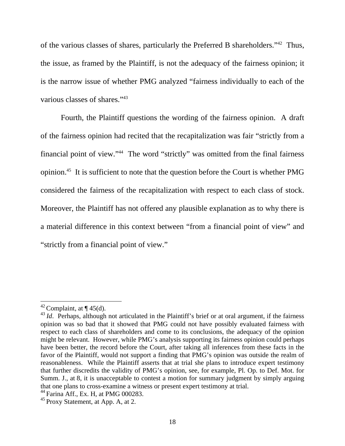of the various classes of shares, particularly the Preferred B shareholders."42 Thus, the issue, as framed by the Plaintiff, is not the adequacy of the fairness opinion; it is the narrow issue of whether PMG analyzed "fairness individually to each of the various classes of shares."43

 Fourth, the Plaintiff questions the wording of the fairness opinion. A draft of the fairness opinion had recited that the recapitalization was fair "strictly from a financial point of view."44 The word "strictly" was omitted from the final fairness opinion.45 It is sufficient to note that the question before the Court is whether PMG considered the fairness of the recapitalization with respect to each class of stock. Moreover, the Plaintiff has not offered any plausible explanation as to why there is a material difference in this context between "from a financial point of view" and "strictly from a financial point of view."

<sup>&</sup>lt;sup>42</sup> Complaint, at  $\P$  45(d).

<sup>&</sup>lt;sup>43</sup>*Id.* Perhaps, although not articulated in the Plaintiff's brief or at oral argument, if the fairness opinion was so bad that it showed that PMG could not have possibly evaluated fairness with respect to each class of shareholders and come to its conclusions, the adequacy of the opinion might be relevant. However, while PMG's analysis supporting its fairness opinion could perhaps have been better, the record before the Court, after taking all inferences from these facts in the favor of the Plaintiff, would not support a finding that PMG's opinion was outside the realm of reasonableness. While the Plaintiff asserts that at trial she plans to introduce expert testimony that further discredits the validity of PMG's opinion, see, for example, Pl. Op. to Def. Mot. for Summ. J., at 8, it is unacceptable to contest a motion for summary judgment by simply arguing that one plans to cross-examine a witness or present expert testimony at trial.

<sup>44</sup> Farina Aff., Ex. H, at PMG 000283.

 $45$  Proxy Statement, at App. A, at 2.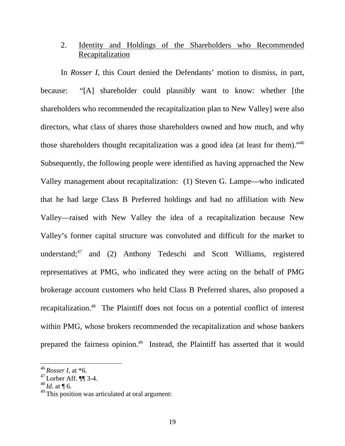## 2.Identity and Holdings of the Shareholders who Recommended Recapitalization

 In *Rosser I*, this Court denied the Defendants' motion to dismiss, in part, because: "[A] shareholder could plausibly want to know: whether [the shareholders who recommended the recapitalization plan to New Valley] were also directors, what class of shares those shareholders owned and how much, and why those shareholders thought recapitalization was a good idea (at least for them)."46 Subsequently, the following people were identified as having approached the New Valley management about recapitalization: (1) Steven G. Lampe—who indicated that he had large Class B Preferred holdings and had no affiliation with New Valley—raised with New Valley the idea of a recapitalization because New Valley's former capital structure was convoluted and difficult for the market to understand; $47$  and (2) Anthony Tedeschi and Scott Williams, registered representatives at PMG, who indicated they were acting on the behalf of PMG brokerage account customers who held Class B Preferred shares, also proposed a recapitalization.48 The Plaintiff does not focus on a potential conflict of interest within PMG, whose brokers recommended the recapitalization and whose bankers prepared the fairness opinion.<sup>49</sup> Instead, the Plaintiff has asserted that it would

<sup>46</sup>*Rosser I*, at \*6.

<sup>47</sup> Lorber Aff. ¶¶ 3-4.

 $^{48}$ *Id.* at ¶ 6.

 $^{49}$  This position was articulated at oral argument: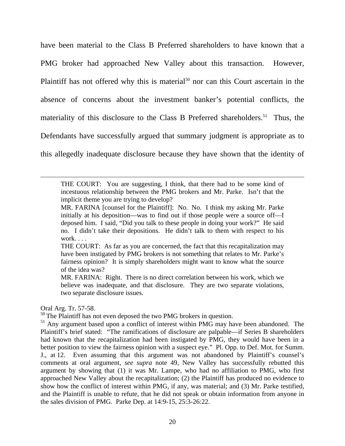have been material to the Class B Preferred shareholders to have known that a PMG broker had approached New Valley about this transaction. However, Plaintiff has not offered why this is material<sup>50</sup> nor can this Court ascertain in the absence of concerns about the investment banker's potential conflicts, the materiality of this disclosure to the Class B Preferred shareholders.<sup>51</sup> Thus, the Defendants have successfully argued that summary judgment is appropriate as to this allegedly inadequate disclosure because they have shown that the identity of

#### Oral Arg. Tr. 57-58.

THE COURT: You are suggesting, I think, that there had to be some kind of incestuous relationship between the PMG brokers and Mr. Parke. Isn't that the implicit theme you are trying to develop?

MR. FARINA [counsel for the Plaintiff]: No. No. I think my asking Mr. Parke initially at his deposition—was to find out if those people were a source off—I deposed him. I said, "Did you talk to these people in doing your work?" He said no. I didn't take their depositions. He didn't talk to them with respect to his work. . . .

THE COURT: As far as you are concerned, the fact that this recapitalization may have been instigated by PMG brokers is not something that relates to Mr. Parke's fairness opinion? It is simply shareholders might want to know what the source of the idea was?

MR. FARINA: Right. There is no direct correlation between his work, which we believe was inadequate, and that disclosure. They are two separate violations, two separate disclosure issues.

<sup>&</sup>lt;sup>50</sup> The Plaintiff has not even deposed the two PMG brokers in question.

<sup>&</sup>lt;sup>51</sup> Any argument based upon a conflict of interest within PMG may have been abandoned. The Plaintiff's brief stated: "The ramifications of disclosure are palpable—if Series B shareholders had known that the recapitalization had been instigated by PMG, they would have been in a better position to view the fairness opinion with a suspect eye." Pl. Opp. to Def. Mot. for Summ. J., at 12. Even assuming that this argument was not abandoned by Plaintiff's counsel's comments at oral argument, *see supra* note 49, New Valley has successfully rebutted this argument by showing that (1) it was Mr. Lampe, who had no affiliation to PMG, who first approached New Valley about the recapitalization; (2) the Plaintiff has produced no evidence to show how the conflict of interest within PMG, if any, was material; and (3) Mr. Parke testified, and the Plaintiff is unable to refute, that he did not speak or obtain information from anyone in the sales division of PMG. Parke Dep. at 14:9-15, 25:3-26:22.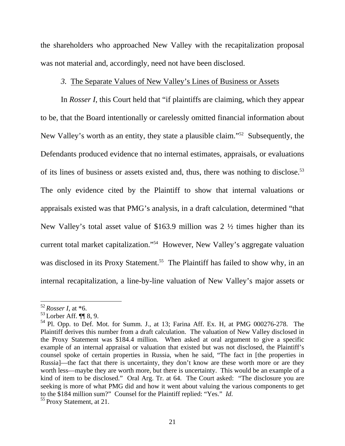the shareholders who approached New Valley with the recapitalization proposal was not material and, accordingly, need not have been disclosed.

### *3.* The Separate Values of New Valley's Lines of Business or Assets

 In *Rosser I*, this Court held that "if plaintiffs are claiming, which they appear to be, that the Board intentionally or carelessly omitted financial information about New Valley's worth as an entity, they state a plausible claim."52 Subsequently, the Defendants produced evidence that no internal estimates, appraisals, or evaluations of its lines of business or assets existed and, thus, there was nothing to disclose.<sup>53</sup> The only evidence cited by the Plaintiff to show that internal valuations or appraisals existed was that PMG's analysis, in a draft calculation, determined "that New Valley's total asset value of \$163.9 million was 2 ½ times higher than its current total market capitalization."54 However, New Valley's aggregate valuation was disclosed in its Proxy Statement.<sup>55</sup> The Plaintiff has failed to show why, in an internal recapitalization, a line-by-line valuation of New Valley's major assets or

<sup>52</sup>*Rosser I*, at \*6.

 $53$  Lorber Aff.  $\P\P$  8, 9.

 $54$  Pl. Opp. to Def. Mot. for Summ. J., at 13; Farina Aff. Ex. H, at PMG 000276-278. The Plaintiff derives this number from a draft calculation. The valuation of New Valley disclosed in the Proxy Statement was \$184.4 million. When asked at oral argument to give a specific example of an internal appraisal or valuation that existed but was not disclosed, the Plaintiff's counsel spoke of certain properties in Russia, when he said, "The fact in [the properties in Russia]—the fact that there is uncertainty, they don't know are these worth more or are they worth less—maybe they are worth more, but there is uncertainty. This would be an example of a kind of item to be disclosed." Oral Arg. Tr. at 64. The Court asked: "The disclosure you are seeking is more of what PMG did and how it went about valuing the various components to get to the \$184 million sum?" Counsel for the Plaintiff replied: "Yes." *Id*. 55 Proxy Statement, at 21.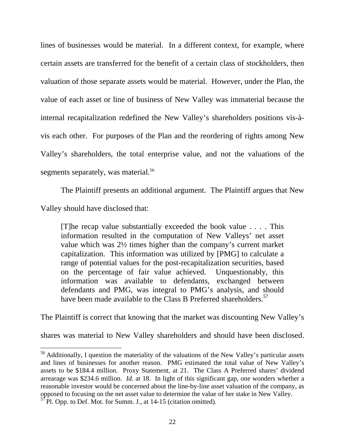lines of businesses would be material. In a different context, for example, where certain assets are transferred for the benefit of a certain class of stockholders, then valuation of those separate assets would be material. However, under the Plan, the value of each asset or line of business of New Valley was immaterial because the internal recapitalization redefined the New Valley's shareholders positions vis-àvis each other. For purposes of the Plan and the reordering of rights among New Valley's shareholders, the total enterprise value, and not the valuations of the segments separately, was material.<sup>56</sup>

The Plaintiff presents an additional argument. The Plaintiff argues that New

Valley should have disclosed that:

 $\overline{a}$ 

[T]he recap value substantially exceeded the book value . . . . This information resulted in the computation of New Valleys' net asset value which was 2½ times higher than the company's current market capitalization. This information was utilized by [PMG] to calculate a range of potential values for the post-recapitalization securities, based on the percentage of fair value achieved. Unquestionably, this information was available to defendants, exchanged between defendants and PMG, was integral to PMG's analysis, and should have been made available to the Class B Preferred shareholders.<sup>57</sup>

The Plaintiff is correct that knowing that the market was discounting New Valley's

shares was material to New Valley shareholders and should have been disclosed.

 $56$  Additionally, I question the materiality of the valuations of the New Valley's particular assets and lines of businesses for another reason. PMG estimated the total value of New Valley's assets to be \$184.4 million. Proxy Statement, at 21. The Class A Preferred shares' dividend arrearage was \$234.6 million. *Id.* at 18. In light of this significant gap, one wonders whether a reasonable investor would be concerned about the line-by-line asset valuation of the company, as opposed to focusing on the net asset value to determine the value of her stake in New Valley.

 $57$  Pl. Opp. to Def. Mot. for Summ. J., at 14-15 (citation omitted).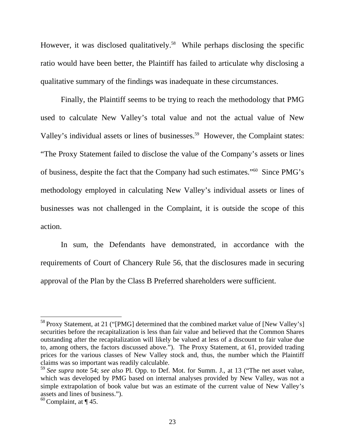However, it was disclosed qualitatively.<sup>58</sup> While perhaps disclosing the specific ratio would have been better, the Plaintiff has failed to articulate why disclosing a qualitative summary of the findings was inadequate in these circumstances.

 Finally, the Plaintiff seems to be trying to reach the methodology that PMG used to calculate New Valley's total value and not the actual value of New Valley's individual assets or lines of businesses.<sup>59</sup> However, the Complaint states: "The Proxy Statement failed to disclose the value of the Company's assets or lines of business, despite the fact that the Company had such estimates."60 Since PMG's methodology employed in calculating New Valley's individual assets or lines of businesses was not challenged in the Complaint, it is outside the scope of this action.

 In sum, the Defendants have demonstrated, in accordance with the requirements of Court of Chancery Rule 56, that the disclosures made in securing approval of the Plan by the Class B Preferred shareholders were sufficient.

 $58$  Proxy Statement, at 21 ("[PMG] determined that the combined market value of [New Valley's] securities before the recapitalization is less than fair value and believed that the Common Shares outstanding after the recapitalization will likely be valued at less of a discount to fair value due to, among others, the factors discussed above."). The Proxy Statement, at 61, provided trading prices for the various classes of New Valley stock and, thus, the number which the Plaintiff claims was so important was readily calculable.

<sup>59</sup>*See supra* note 54; *see also* Pl. Opp. to Def. Mot. for Summ. J., at 13 ("The net asset value, which was developed by PMG based on internal analyses provided by New Valley, was not a simple extrapolation of book value but was an estimate of the current value of New Valley's assets and lines of business.").

 $60$  Complaint, at  $\P$  45.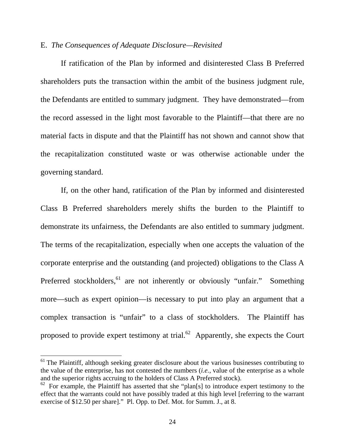## E. *The Consequences of Adequate Disclosure—Revisited*

If ratification of the Plan by informed and disinterested Class B Preferred shareholders puts the transaction within the ambit of the business judgment rule, the Defendants are entitled to summary judgment. They have demonstrated—from the record assessed in the light most favorable to the Plaintiff—that there are no material facts in dispute and that the Plaintiff has not shown and cannot show that the recapitalization constituted waste or was otherwise actionable under the governing standard.

 If, on the other hand, ratification of the Plan by informed and disinterested Class B Preferred shareholders merely shifts the burden to the Plaintiff to demonstrate its unfairness, the Defendants are also entitled to summary judgment. The terms of the recapitalization, especially when one accepts the valuation of the corporate enterprise and the outstanding (and projected) obligations to the Class A Preferred stockholders,<sup>61</sup> are not inherently or obviously "unfair." Something more—such as expert opinion—is necessary to put into play an argument that a complex transaction is "unfair" to a class of stockholders. The Plaintiff has proposed to provide expert testimony at trial.<sup>62</sup> Apparently, she expects the Court

 $61$  The Plaintiff, although seeking greater disclosure about the various businesses contributing to the value of the enterprise, has not contested the numbers (*i.e.*, value of the enterprise as a whole and the superior rights accruing to the holders of Class A Preferred stock).

 $\overrightarrow{62}$  For example, the Plaintiff has asserted that she "plan[s] to introduce expert testimony to the effect that the warrants could not have possibly traded at this high level [referring to the warrant exercise of \$12.50 per share]." Pl. Opp. to Def. Mot. for Summ. J., at 8.